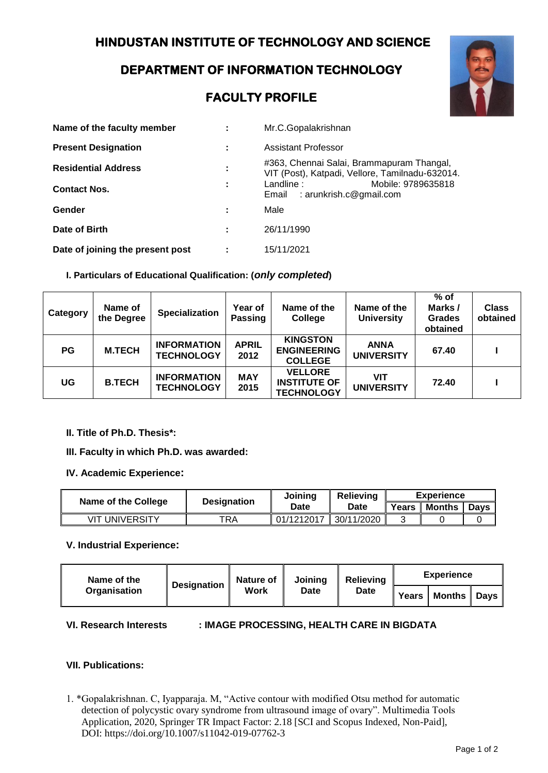## **DEPARTMENT OF INFORMATION TECHNOLOGY**

# **FACULTY PROFILE**



| Name of the faculty member       | ٠                   | Mr.C.Gopalakrishnan                                                                          |
|----------------------------------|---------------------|----------------------------------------------------------------------------------------------|
| <b>Present Designation</b>       |                     | Assistant Professor                                                                          |
| <b>Residential Address</b>       | ٠<br>$\blacksquare$ | #363, Chennai Salai, Brammapuram Thangal,<br>VIT (Post), Katpadi, Vellore, Tamilnadu-632014. |
| <b>Contact Nos.</b>              |                     | Mobile: 9789635818<br>Landline:<br>Email : arunkrish.c@gmail.com                             |
| Gender                           |                     | Male                                                                                         |
| Date of Birth                    |                     | 26/11/1990                                                                                   |
| Date of joining the present post |                     | 15/11/2021                                                                                   |

### **I. Particulars of Educational Qualification: (***only completed***)**

| Category  | Name of<br>the Degree | <b>Specialization</b>                   | Year of<br><b>Passing</b> | Name of the<br>College                                     | Name of the<br><b>University</b> | $%$ of<br>Marks/<br><b>Grades</b><br>obtained | <b>Class</b><br>obtained |
|-----------|-----------------------|-----------------------------------------|---------------------------|------------------------------------------------------------|----------------------------------|-----------------------------------------------|--------------------------|
| <b>PG</b> | <b>M.TECH</b>         | <b>INFORMATION</b><br><b>TECHNOLOGY</b> | <b>APRIL</b><br>2012      | <b>KINGSTON</b><br><b>ENGINEERING</b><br><b>COLLEGE</b>    | <b>ANNA</b><br><b>UNIVERSITY</b> | 67.40                                         |                          |
| UG        | <b>B.TECH</b>         | <b>INFORMATION</b><br><b>TECHNOLOGY</b> | <b>MAY</b><br>2015        | <b>VELLORE</b><br><b>INSTITUTE OF</b><br><b>TECHNOLOGY</b> | VIT<br><b>UNIVERSITY</b>         | 72.40                                         |                          |

#### **II. Title of Ph.D. Thesis\*:**

- **III. Faculty in which Ph.D. was awarded:**
- **IV. Academic Experience:**

| Name of the College | <b>Designation</b> | Joining    | <b>Relieving</b> | <b>Experience</b> |  |  |
|---------------------|--------------------|------------|------------------|-------------------|--|--|
|                     |                    | Date       | Date             | Years             |  |  |
| VIT UNIVERSITY      | TRA                | 01/1212017 | 30/11/2020       |                   |  |  |

#### **V. Industrial Experience:**

| Name of the<br>Organisation | <b>Designation</b> | Nature of $\parallel$<br><b>Work</b> | Joinina<br>Date | <b>Relieving</b><br><b>Date</b> | <b>Experience</b> |               |  |
|-----------------------------|--------------------|--------------------------------------|-----------------|---------------------------------|-------------------|---------------|--|
|                             |                    |                                      |                 |                                 | Years             | Months   Days |  |

#### **VI. Research Interests : IMAGE PROCESSING, HEALTH CARE IN BIGDATA**

#### **VII. Publications:**

1. \*Gopalakrishnan. C, Iyapparaja. M, "Active contour with modified Otsu method for automatic detection of polycystic ovary syndrome from ultrasound image of ovary". Multimedia Tools Application, 2020, Springer TR Impact Factor: 2.18 [SCI and Scopus Indexed, Non-Paid], DOI: https://doi.org/10.1007/s11042-019-07762-3